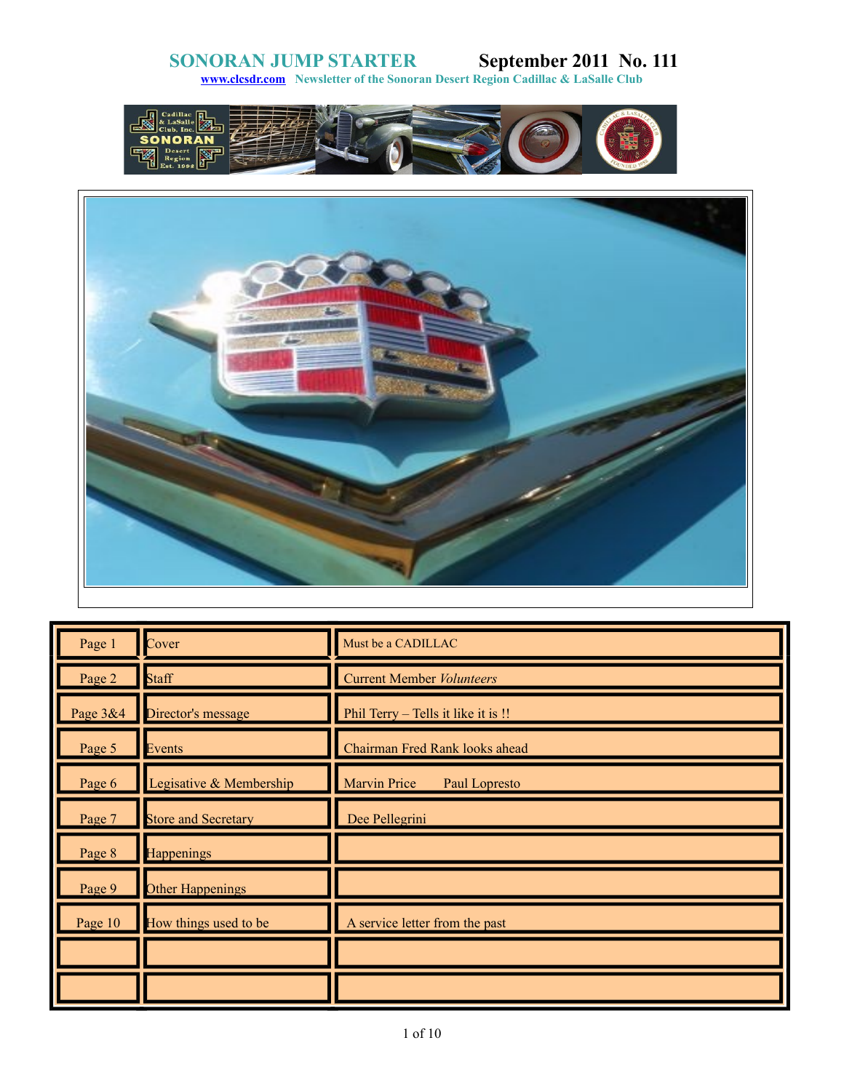**[www.clcsdr.com](http://www.clcsdr.com/) Newsletter of the Sonoran Desert Region Cadillac & LaSalle Club**





| Page 1   | Cover                      | Must be a CADILLAC                   |
|----------|----------------------------|--------------------------------------|
| Page 2   | Staff                      | <b>Current Member Volunteers</b>     |
| Page 3&4 | Director's message         | Phil Terry - Tells it like it is !!  |
| Page 5   | Events                     | Chairman Fred Rank looks ahead       |
| Page 6   | Legisative & Membership    | <b>Marvin Price</b><br>Paul Lopresto |
| Page 7   | <b>Store and Secretary</b> | Dee Pellegrini                       |
| Page 8   | <b>Happenings</b>          |                                      |
| Page 9   | <b>Other Happenings</b>    |                                      |
| Page 10  | How things used to be      | A service letter from the past       |
|          |                            |                                      |
|          |                            |                                      |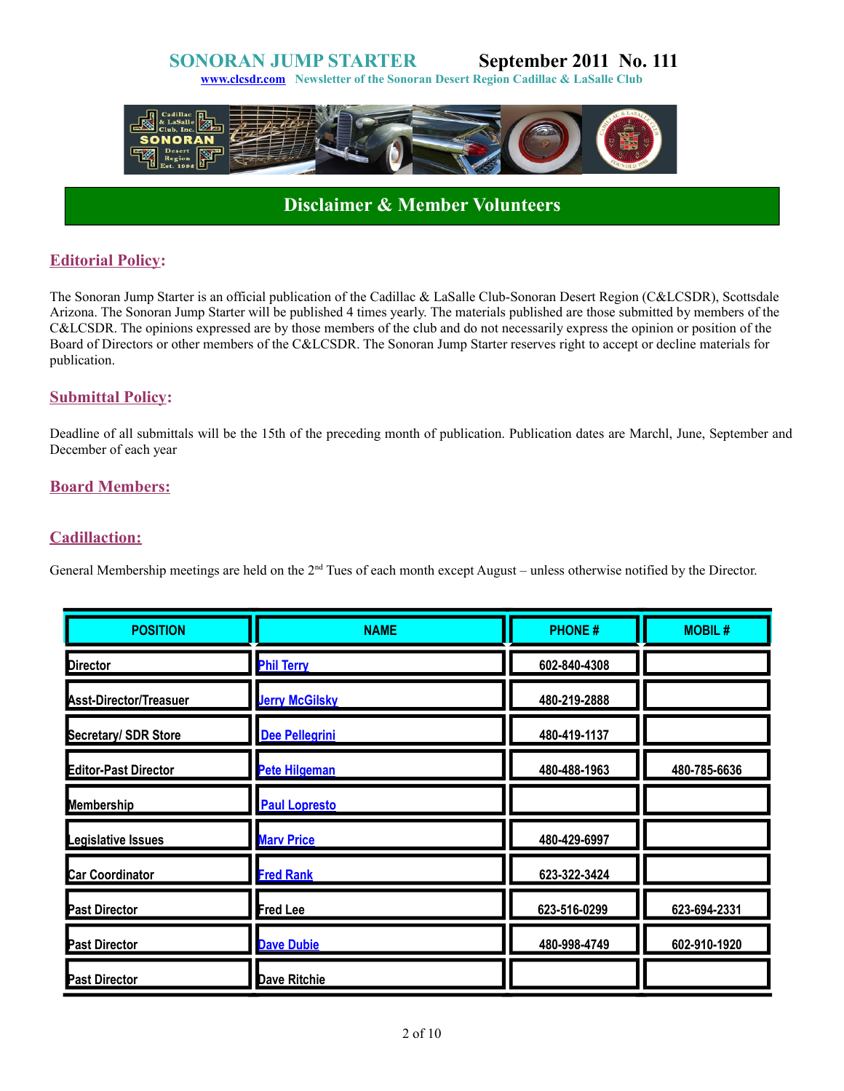**[www.clcsdr.com](http://www.clcsdr.com/) Newsletter of the Sonoran Desert Region Cadillac & LaSalle Club**



# **Disclaimer & Member Volunteers**

### **Editorial Policy:**

The Sonoran Jump Starter is an official publication of the Cadillac & LaSalle Club-Sonoran Desert Region (C&LCSDR), Scottsdale Arizona. The Sonoran Jump Starter will be published 4 times yearly. The materials published are those submitted by members of the C&LCSDR. The opinions expressed are by those members of the club and do not necessarily express the opinion or position of the Board of Directors or other members of the C&LCSDR. The Sonoran Jump Starter reserves right to accept or decline materials for publication.

### **Submittal Policy:**

Deadline of all submittals will be the 15th of the preceding month of publication. Publication dates are Marchl, June, September and December of each year

### **Board Members:**

### **Cadillaction:**

General Membership meetings are held on the  $2<sup>nd</sup>$  Tues of each month except August – unless otherwise notified by the Director.

| <b>POSITION</b>               | <b>NAME</b>           | <b>PHONE#</b> | <b>MOBIL#</b> |
|-------------------------------|-----------------------|---------------|---------------|
| <b>Director</b>               | <b>Phil Terry</b>     | 602-840-4308  |               |
| <b>Asst-Director/Treasuer</b> | <b>Jerry McGilsky</b> | 480-219-2888  |               |
| <b>Secretary/ SDR Store</b>   | Dee Pellegrini        | 480-419-1137  |               |
| <b>Editor-Past Director</b>   | <b>Pete Hilgeman</b>  | 480-488-1963  | 480-785-6636  |
| <b>Membership</b>             | <b>Paul Lopresto</b>  |               |               |
| Legislative Issues            | <b>Mary Price</b>     | 480-429-6997  |               |
| <b>Car Coordinator</b>        | <b>Fred Rank</b>      | 623-322-3424  |               |
| <b>Past Director</b>          | Fred Lee              | 623-516-0299  | 623-694-2331  |
| <b>Past Director</b>          | <b>Dave Dubie</b>     | 480-998-4749  | 602-910-1920  |
| <b>Past Director</b>          | Dave Ritchie          |               |               |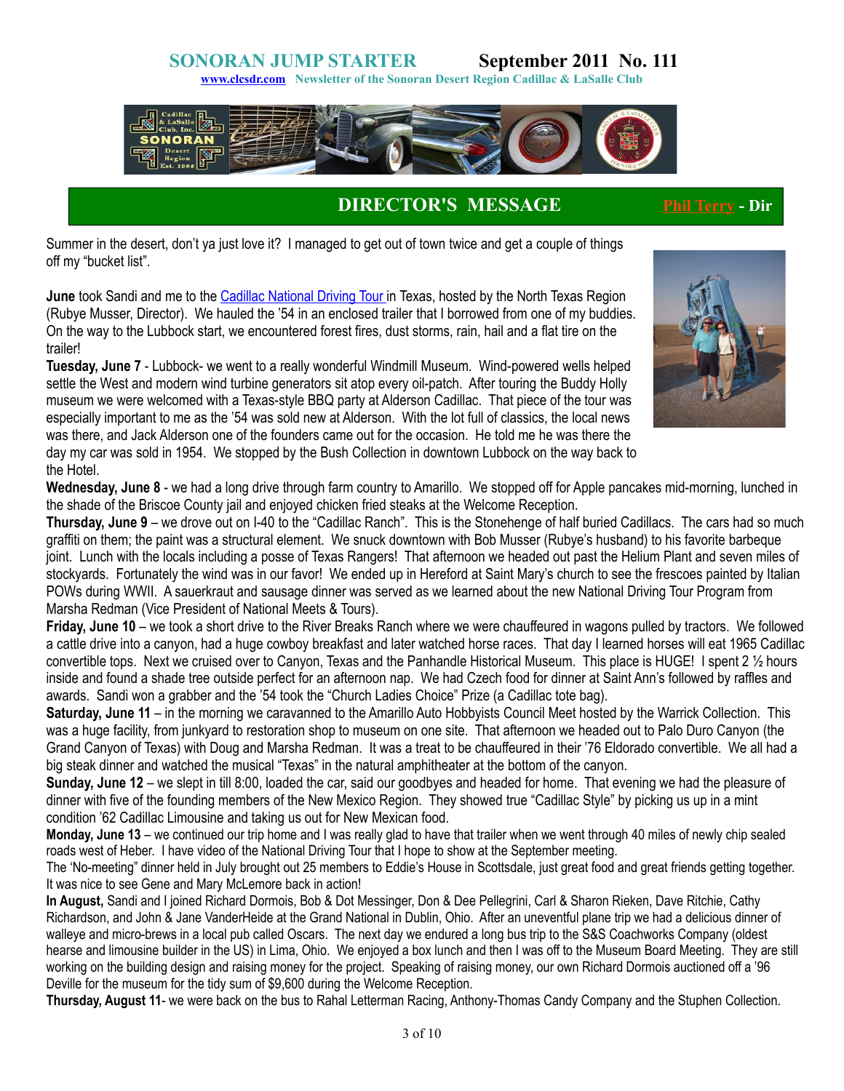**[www.clcsdr.com](http://www.clcsdr.com/) Newsletter of the Sonoran Desert Region Cadillac & LaSalle Club**



### **DIRECTOR'S MESSAGE [Phil Terry](mailto:phildeville@qwest.net) - Dir**

Summer in the desert, don't ya just love it? I managed to get out of town twice and get a couple of things off my "bucket list".

**June** took Sandi and me to the [Cadillac National Driving Tour i](http://www.clcntx.com/photo_gallery/June-2011/June-2011.html)n Texas, hosted by the North Texas Region (Rubye Musser, Director). We hauled the '54 in an enclosed trailer that I borrowed from one of my buddies. On the way to the Lubbock start, we encountered forest fires, dust storms, rain, hail and a flat tire on the trailer!



**Tuesday, June 7** - Lubbock- we went to a really wonderful Windmill Museum. Wind-powered wells helped settle the West and modern wind turbine generators sit atop every oil-patch. After touring the Buddy Holly museum we were welcomed with a Texas-style BBQ party at Alderson Cadillac. That piece of the tour was especially important to me as the '54 was sold new at Alderson. With the lot full of classics, the local news was there, and Jack Alderson one of the founders came out for the occasion. He told me he was there the day my car was sold in 1954. We stopped by the Bush Collection in downtown Lubbock on the way back to the Hotel.

**Wednesday, June 8** - we had a long drive through farm country to Amarillo. We stopped off for Apple pancakes mid-morning, lunched in the shade of the Briscoe County jail and enjoyed chicken fried steaks at the Welcome Reception.

**Thursday, June 9** – we drove out on I-40 to the "Cadillac Ranch". This is the Stonehenge of half buried Cadillacs. The cars had so much graffiti on them; the paint was a structural element. We snuck downtown with Bob Musser (Rubye's husband) to his favorite barbeque joint. Lunch with the locals including a posse of Texas Rangers! That afternoon we headed out past the Helium Plant and seven miles of stockyards. Fortunately the wind was in our favor! We ended up in Hereford at Saint Mary's church to see the frescoes painted by Italian POWs during WWII. A sauerkraut and sausage dinner was served as we learned about the new National Driving Tour Program from Marsha Redman (Vice President of National Meets & Tours).

**Friday, June 10** – we took a short drive to the River Breaks Ranch where we were chauffeured in wagons pulled by tractors. We followed a cattle drive into a canyon, had a huge cowboy breakfast and later watched horse races. That day I learned horses will eat 1965 Cadillac convertible tops. Next we cruised over to Canyon, Texas and the Panhandle Historical Museum. This place is HUGE! I spent 2 ½ hours inside and found a shade tree outside perfect for an afternoon nap. We had Czech food for dinner at Saint Ann's followed by raffles and awards. Sandi won a grabber and the '54 took the "Church Ladies Choice" Prize (a Cadillac tote bag).

**Saturday, June 11** – in the morning we caravanned to the Amarillo Auto Hobbyists Council Meet hosted by the Warrick Collection. This was a huge facility, from junkyard to restoration shop to museum on one site. That afternoon we headed out to Palo Duro Canyon (the Grand Canyon of Texas) with Doug and Marsha Redman. It was a treat to be chauffeured in their '76 Eldorado convertible. We all had a big steak dinner and watched the musical "Texas" in the natural amphitheater at the bottom of the canyon.

**Sunday, June 12** – we slept in till 8:00, loaded the car, said our goodbyes and headed for home. That evening we had the pleasure of dinner with five of the founding members of the New Mexico Region. They showed true "Cadillac Style" by picking us up in a mint condition '62 Cadillac Limousine and taking us out for New Mexican food.

**Monday, June 13** – we continued our trip home and I was really glad to have that trailer when we went through 40 miles of newly chip sealed roads west of Heber. I have video of the National Driving Tour that I hope to show at the September meeting.

The 'No-meeting" dinner held in July brought out 25 members to Eddie's House in Scottsdale, just great food and great friends getting together. It was nice to see Gene and Mary McLemore back in action!

**In August,** Sandi and I joined Richard Dormois, Bob & Dot Messinger, Don & Dee Pellegrini, Carl & Sharon Rieken, Dave Ritchie, Cathy Richardson, and John & Jane VanderHeide at the Grand National in Dublin, Ohio. After an uneventful plane trip we had a delicious dinner of walleye and micro-brews in a local pub called Oscars. The next day we endured a long bus trip to the S&S Coachworks Company (oldest hearse and limousine builder in the US) in Lima, Ohio. We enjoyed a box lunch and then I was off to the Museum Board Meeting. They are still working on the building design and raising money for the project. Speaking of raising money, our own Richard Dormois auctioned off a '96 Deville for the museum for the tidy sum of \$9,600 during the Welcome Reception.

**Thursday, August 11**- we were back on the bus to Rahal Letterman Racing, Anthony-Thomas Candy Company and the Stuphen Collection.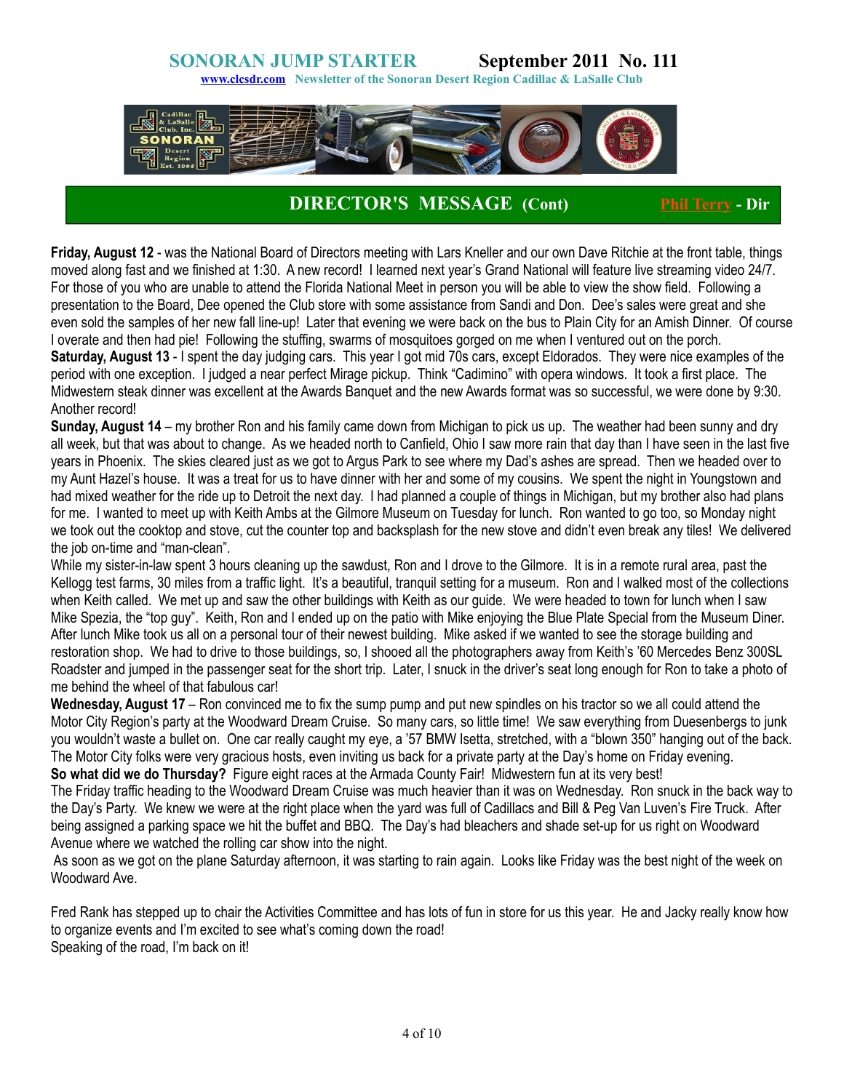**[www.clcsdr.com](http://www.clcsdr.com/) Newsletter of the Sonoran Desert Region Cadillac & LaSalle Club**



# **DIRECTOR'S MESSAGE (Cont) [Phil Terry](mailto:phildeville@qwest.net) - Dir**

**Friday, August 12** - was the National Board of Directors meeting with Lars Kneller and our own Dave Ritchie at the front table, things moved along fast and we finished at 1:30. A new record! I learned next year's Grand National will feature live streaming video 24/7. For those of you who are unable to attend the Florida National Meet in person you will be able to view the show field. Following a presentation to the Board, Dee opened the Club store with some assistance from Sandi and Don. Dee's sales were great and she even sold the samples of her new fall line-up! Later that evening we were back on the bus to Plain City for an Amish Dinner. Of course I overate and then had pie! Following the stuffing, swarms of mosquitoes gorged on me when I ventured out on the porch. **Saturday, August 13** - I spent the day judging cars. This year I got mid 70s cars, except Eldorados. They were nice examples of the period with one exception. I judged a near perfect Mirage pickup. Think "Cadimino" with opera windows. It took a first place. The Midwestern steak dinner was excellent at the Awards Banquet and the new Awards format was so successful, we were done by 9:30. Another record!

**Sunday, August 14** – my brother Ron and his family came down from Michigan to pick us up. The weather had been sunny and dry all week, but that was about to change. As we headed north to Canfield, Ohio I saw more rain that day than I have seen in the last five years in Phoenix. The skies cleared just as we got to Argus Park to see where my Dad's ashes are spread. Then we headed over to my Aunt Hazel's house. It was a treat for us to have dinner with her and some of my cousins. We spent the night in Youngstown and had mixed weather for the ride up to Detroit the next day. I had planned a couple of things in Michigan, but my brother also had plans for me. I wanted to meet up with Keith Ambs at the Gilmore Museum on Tuesday for lunch. Ron wanted to go too, so Monday night we took out the cooktop and stove, cut the counter top and backsplash for the new stove and didn't even break any tiles! We delivered the job on-time and "man-clean".

While my sister-in-law spent 3 hours cleaning up the sawdust, Ron and I drove to the Gilmore. It is in a remote rural area, past the Kellogg test farms, 30 miles from a traffic light. It's a beautiful, tranquil setting for a museum. Ron and I walked most of the collections when Keith called. We met up and saw the other buildings with Keith as our guide. We were headed to town for lunch when I saw Mike Spezia, the "top guy". Keith, Ron and I ended up on the patio with Mike enjoying the Blue Plate Special from the Museum Diner. After lunch Mike took us all on a personal tour of their newest building. Mike asked if we wanted to see the storage building and restoration shop. We had to drive to those buildings, so, I shooed all the photographers away from Keith's '60 Mercedes Benz 300SL Roadster and jumped in the passenger seat for the short trip. Later, I snuck in the driver's seat long enough for Ron to take a photo of me behind the wheel of that fabulous car!

**Wednesday, August 17** – Ron convinced me to fix the sump pump and put new spindles on his tractor so we all could attend the Motor City Region's party at the Woodward Dream Cruise. So many cars, so little time! We saw everything from Duesenbergs to junk you wouldn't waste a bullet on. One car really caught my eye, a '57 BMW Isetta, stretched, with a "blown 350" hanging out of the back. The Motor City folks were very gracious hosts, even inviting us back for a private party at the Day's home on Friday evening. **So what did we do Thursday?** Figure eight races at the Armada County Fair! Midwestern fun at its very best!

The Friday traffic heading to the Woodward Dream Cruise was much heavier than it was on Wednesday. Ron snuck in the back way to the Day's Party. We knew we were at the right place when the yard was full of Cadillacs and Bill & Peg Van Luven's Fire Truck. After being assigned a parking space we hit the buffet and BBQ. The Day's had bleachers and shade set-up for us right on Woodward Avenue where we watched the rolling car show into the night.

 As soon as we got on the plane Saturday afternoon, it was starting to rain again. Looks like Friday was the best night of the week on Woodward Ave.

Fred Rank has stepped up to chair the Activities Committee and has lots of fun in store for us this year. He and Jacky really know how to organize events and I'm excited to see what's coming down the road! Speaking of the road, I'm back on it!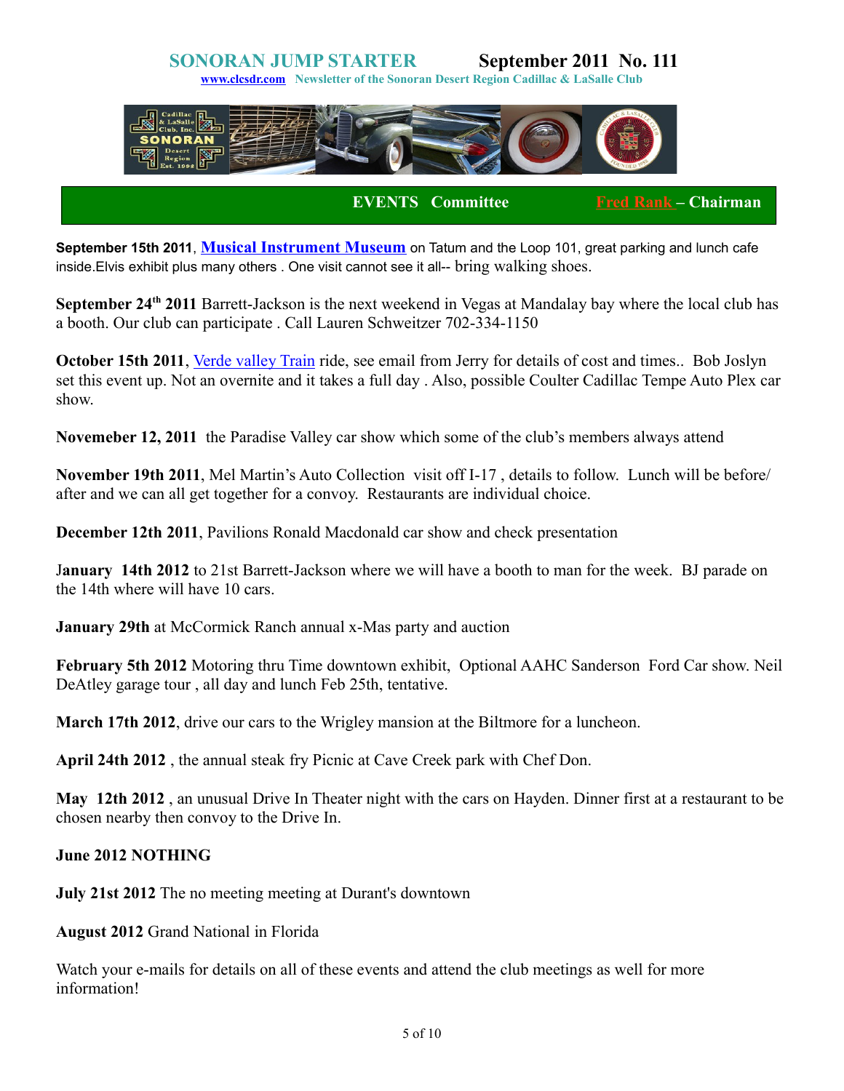**[www.clcsdr.com](http://www.clcsdr.com/) Newsletter of the Sonoran Desert Region Cadillac & LaSalle Club**



**EVENTS Committee [Fred Rank –](mailto:jmcgilsky@robertsresorts.com) Chairman** 

**September 15th 2011**, **[Musical Instrument Museum](http://www.themim.org/)** on Tatum and the Loop 101, great parking and lunch cafe inside.Elvis exhibit plus many others . One visit cannot see it all-- bring walking shoes.

**September 24th 2011** Barrett-Jackson is the next weekend in Vegas at Mandalay bay where the local club has a booth. Our club can participate . Call Lauren Schweitzer 702-334-1150

**October 15th 2011**, [Verde valley Train](http://verdecanyonrr.com/) ride, see email from Jerry for details of cost and times.. Bob Joslyn set this event up. Not an overnite and it takes a full day . Also, possible Coulter Cadillac Tempe Auto Plex car show.

**Novemeber 12, 2011** the Paradise Valley car show which some of the club's members always attend

**November 19th 2011**, Mel Martin's Auto Collection visit off I-17 , details to follow. Lunch will be before/ after and we can all get together for a convoy. Restaurants are individual choice.

**December 12th 2011**, Pavilions Ronald Macdonald car show and check presentation

J**anuary 14th 2012** to 21st Barrett-Jackson where we will have a booth to man for the week. BJ parade on the 14th where will have 10 cars.

**January 29th** at McCormick Ranch annual x-Mas party and auction

**February 5th 2012** Motoring thru Time downtown exhibit, Optional AAHC Sanderson Ford Car show. Neil DeAtley garage tour , all day and lunch Feb 25th, tentative.

**March 17th 2012**, drive our cars to the Wrigley mansion at the Biltmore for a luncheon.

**April 24th 2012** , the annual steak fry Picnic at Cave Creek park with Chef Don.

**May 12th 2012** , an unusual Drive In Theater night with the cars on Hayden. Dinner first at a restaurant to be chosen nearby then convoy to the Drive In.

### **June 2012 NOTHING**

**July 21st 2012** The no meeting meeting at Durant's downtown

**August 2012** Grand National in Florida

Watch your e-mails for details on all of these events and attend the club meetings as well for more information!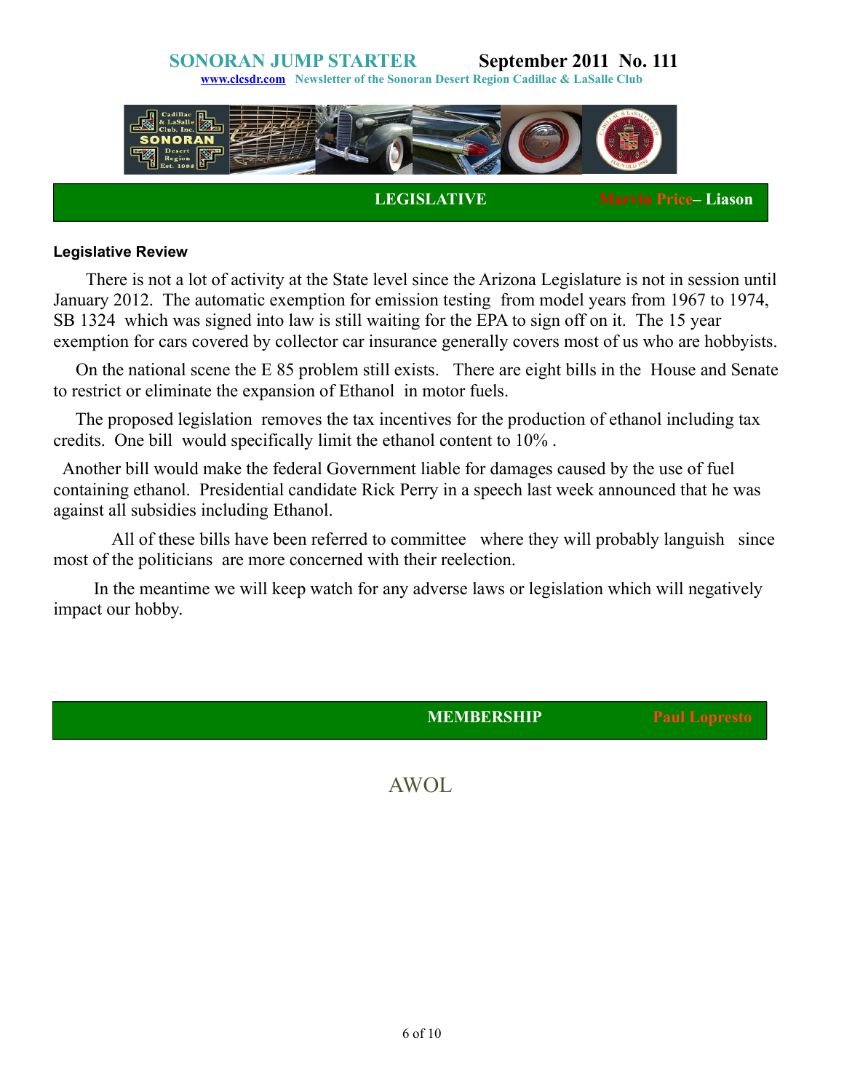**[www.clcsdr.com](http://www.clcsdr.com/) Newsletter of the Sonoran Desert Region Cadillac & LaSalle Club**



**LEGISLATIVE Marvin Price– Liason** 

### **Legislative Review**

 There is not a lot of activity at the State level since the Arizona Legislature is not in session until January 2012. The automatic exemption for emission testing from model years from 1967 to 1974, SB 1324 which was signed into law is still waiting for the EPA to sign off on it. The 15 year exemption for cars covered by collector car insurance generally covers most of us who are hobbyists.

On the national scene the E 85 problem still exists. There are eight bills in the House and Senate to restrict or eliminate the expansion of Ethanol in motor fuels.

 The proposed legislation removes the tax incentives for the production of ethanol including tax credits. One bill would specifically limit the ethanol content to 10% .

Another bill would make the federal Government liable for damages caused by the use of fuel containing ethanol. Presidential candidate Rick Perry in a speech last week announced that he was against all subsidies including Ethanol.

All of these bills have been referred to committee where they will probably languish since most of the politicians are more concerned with their reelection.

In the meantime we will keep watch for any adverse laws or legislation which will negatively impact our hobby.

**MEMBERSHIP Paul Lopresto** 

AWOL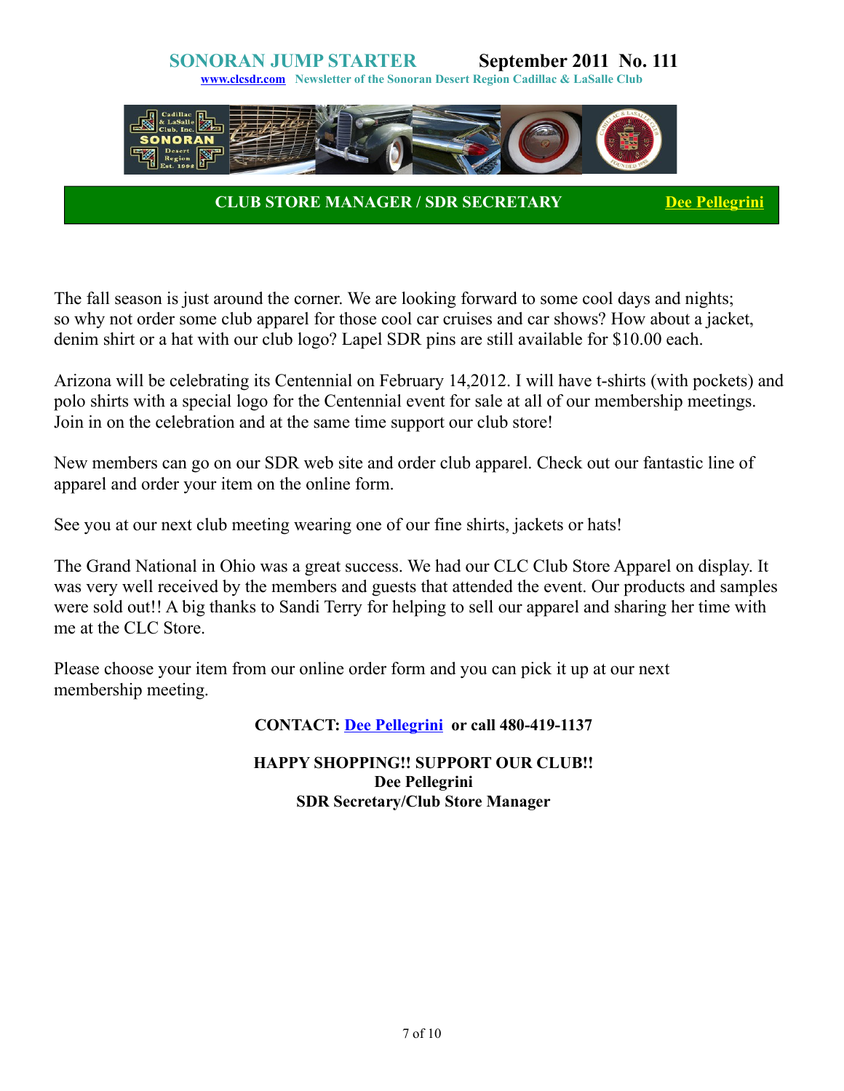

**CLUB STORE MANAGER / SDR SECRETARY [Dee Pellegrini](mailto:dpellegrini66@msn.com)** 

The fall season is just around the corner. We are looking forward to some cool days and nights; so why not order some club apparel for those cool car cruises and car shows? How about a jacket, denim shirt or a hat with our club logo? Lapel SDR pins are still available for \$10.00 each.

Arizona will be celebrating its Centennial on February 14,2012. I will have t-shirts (with pockets) and polo shirts with a special logo for the Centennial event for sale at all of our membership meetings. Join in on the celebration and at the same time support our club store!

New members can go on our SDR web site and order club apparel. Check out our fantastic line of apparel and order your item on the online form.

See you at our next club meeting wearing one of our fine shirts, jackets or hats!

The Grand National in Ohio was a great success. We had our CLC Club Store Apparel on display. It was very well received by the members and guests that attended the event. Our products and samples were sold out!! A big thanks to Sandi Terry for helping to sell our apparel and sharing her time with me at the CLC Store.

Please choose your item from our online order form and you can pick it up at our next membership meeting.

**CONTACT: [Dee Pellegrini](mailto:dpellegrini66@msn.com) or call 480-419-1137**

### **HAPPY SHOPPING!! SUPPORT OUR CLUB!! Dee Pellegrini SDR Secretary/Club Store Manager**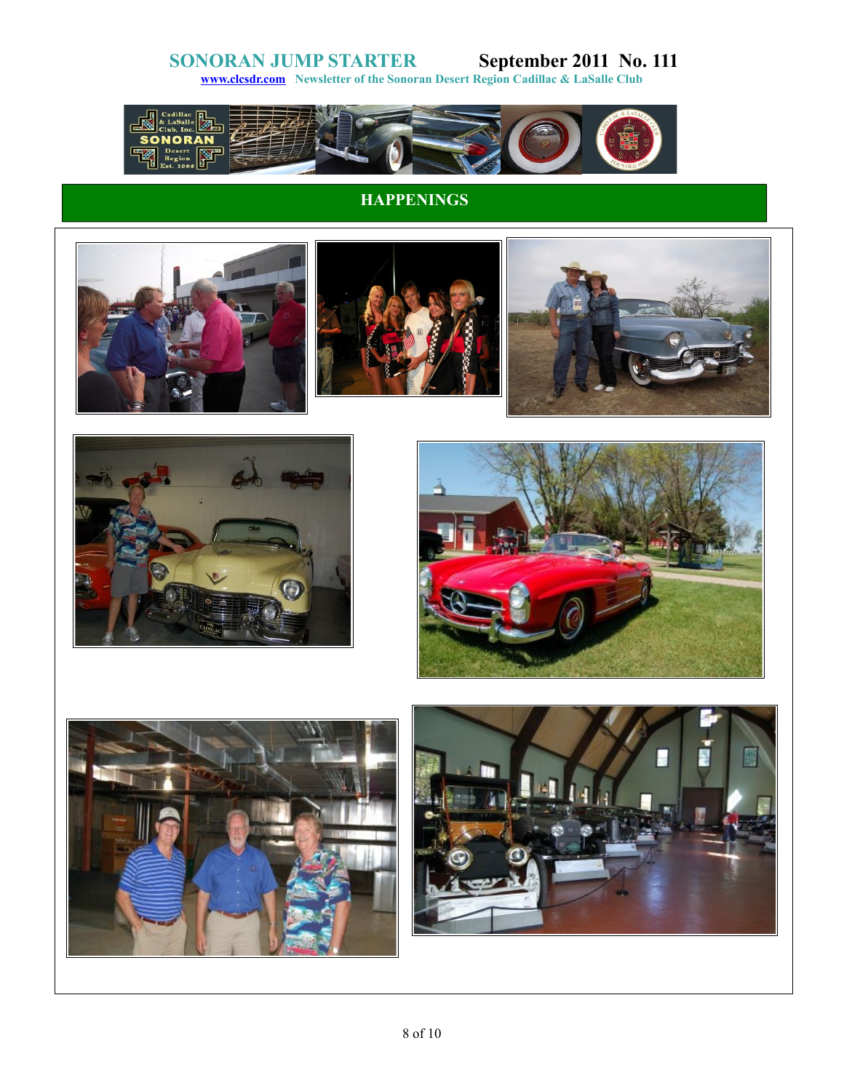**[www.clcsdr.com](http://www.clcsdr.com/) Newsletter of the Sonoran Desert Region Cadillac & LaSalle Club**



# **HAPPENINGS**









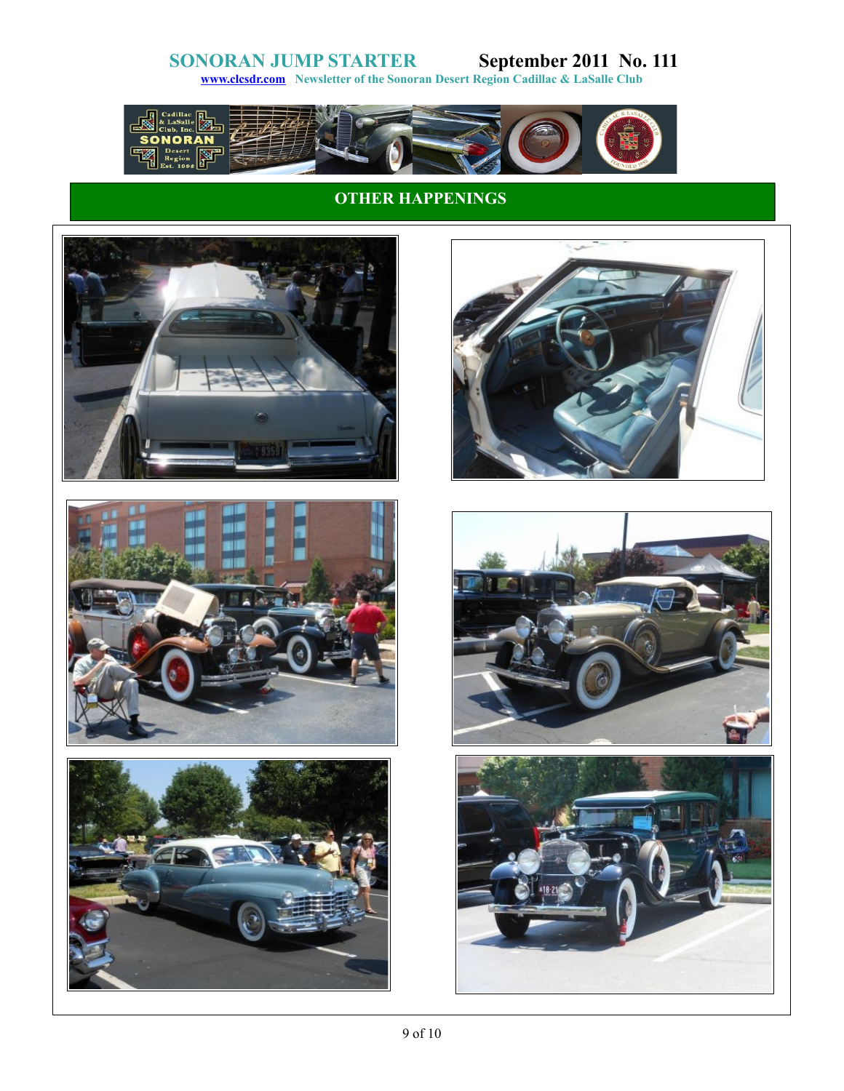**[www.clcsdr.com](http://www.clcsdr.com/) Newsletter of the Sonoran Desert Region Cadillac & LaSalle Club**



## **OTHER HAPPENINGS**